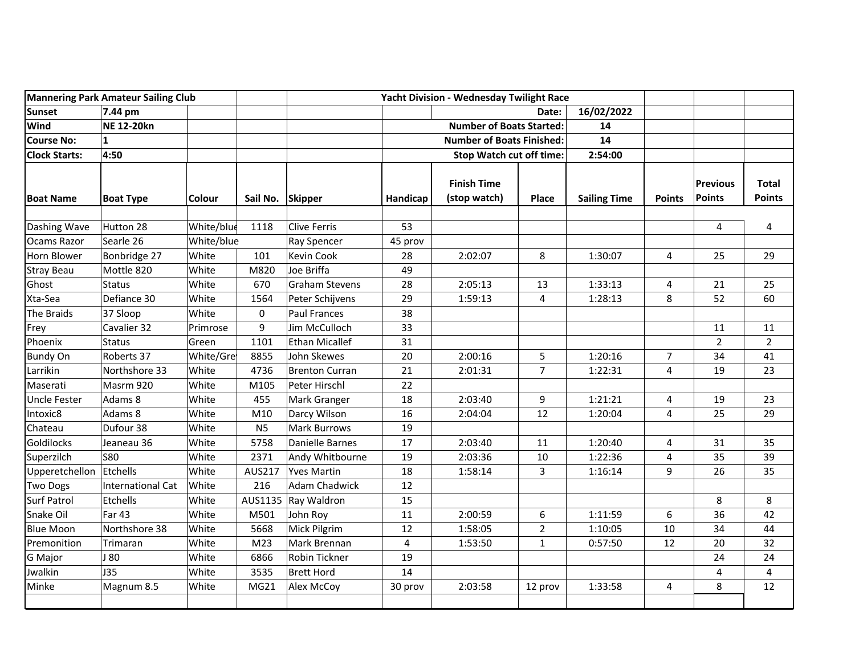| <b>Mannering Park Amateur Sailing Club</b> |                          |            | Yacht Division - Wednesday Twilight Race |                       |          |                                    |                |                     |                         |                           |                               |
|--------------------------------------------|--------------------------|------------|------------------------------------------|-----------------------|----------|------------------------------------|----------------|---------------------|-------------------------|---------------------------|-------------------------------|
| <b>Sunset</b>                              | 7.44 pm                  |            |                                          |                       |          | Date:                              |                | 16/02/2022          |                         |                           |                               |
| <b>Wind</b>                                | <b>NE 12-20kn</b>        |            |                                          |                       |          | <b>Number of Boats Started:</b>    |                | 14                  |                         |                           |                               |
| <b>Course No:</b>                          | $\mathbf{1}$             |            |                                          |                       |          | <b>Number of Boats Finished:</b>   |                | 14                  |                         |                           |                               |
| <b>Clock Starts:</b>                       | 4:50                     |            |                                          |                       |          | Stop Watch cut off time:           |                | 2:54:00             |                         |                           |                               |
| <b>Boat Name</b>                           | <b>Boat Type</b>         | Colour     | Sail No. Skipper                         |                       | Handicap | <b>Finish Time</b><br>(stop watch) | Place          | <b>Sailing Time</b> | <b>Points</b>           | <b>Previous</b><br>Points | <b>Total</b><br><b>Points</b> |
| Dashing Wave                               | Hutton 28                | White/blue | 1118                                     | <b>Clive Ferris</b>   | 53       |                                    |                |                     |                         | 4                         | 4                             |
| Ocams Razor                                | Searle 26                | White/blue |                                          | <b>Ray Spencer</b>    | 45 prov  |                                    |                |                     |                         |                           |                               |
| Horn Blower                                | Bonbridge 27             | White      | 101                                      | <b>Kevin Cook</b>     | 28       | 2:02:07                            | 8              | 1:30:07             | 4                       | 25                        | 29                            |
| <b>Stray Beau</b>                          | Mottle 820               | White      | M820                                     | Joe Briffa            | 49       |                                    |                |                     |                         |                           |                               |
| Ghost                                      | <b>Status</b>            | White      | 670                                      | <b>Graham Stevens</b> | 28       | 2:05:13                            | 13             | 1:33:13             | 4                       | 21                        | 25                            |
| Xta-Sea                                    | Defiance 30              | White      | 1564                                     | Peter Schijvens       | 29       | 1:59:13                            | $\overline{4}$ | 1:28:13             | 8                       | 52                        | 60                            |
| The Braids                                 | 37 Sloop                 | White      | 0                                        | <b>Paul Frances</b>   | 38       |                                    |                |                     |                         |                           |                               |
| Frey                                       | Cavalier 32              | Primrose   | 9                                        | Jim McCulloch         | 33       |                                    |                |                     |                         | 11                        | 11                            |
| Phoenix                                    | <b>Status</b>            | Green      | 1101                                     | <b>Ethan Micallef</b> | 31       |                                    |                |                     |                         | $\overline{2}$            | $\overline{2}$                |
| <b>Bundy On</b>                            | Roberts 37               | White/Gre  | 8855                                     | John Skewes           | 20       | 2:00:16                            | $\overline{5}$ | 1:20:16             | $\overline{7}$          | 34                        | 41                            |
| Larrikin                                   | Northshore 33            | White      | 4736                                     | <b>Brenton Curran</b> | 21       | 2:01:31                            | $\overline{7}$ | 1:22:31             | 4                       | 19                        | 23                            |
| Maserati                                   | Masrm 920                | White      | M105                                     | Peter Hirschl         | 22       |                                    |                |                     |                         |                           |                               |
| <b>Uncle Fester</b>                        | Adams 8                  | White      | 455                                      | Mark Granger          | 18       | 2:03:40                            | 9              | 1:21:21             | $\overline{\mathbf{4}}$ | 19                        | 23                            |
| Intoxic8                                   | Adams 8                  | White      | M10                                      | Darcy Wilson          | 16       | 2:04:04                            | 12             | 1:20:04             | 4                       | 25                        | 29                            |
| Chateau                                    | Dufour 38                | White      | N <sub>5</sub>                           | <b>Mark Burrows</b>   | 19       |                                    |                |                     |                         |                           |                               |
| Goldilocks                                 | Jeaneau 36               | White      | 5758                                     | Danielle Barnes       | 17       | 2:03:40                            | 11             | 1:20:40             | 4                       | 31                        | 35                            |
| Superzilch                                 | <b>S80</b>               | White      | 2371                                     | Andy Whitbourne       | 19       | 2:03:36                            | 10             | 1:22:36             | $\overline{\mathbf{4}}$ | 35                        | 39                            |
| Upperetchellon                             | Etchells                 | White      | AUS217                                   | <b>Yves Martin</b>    | 18       | 1:58:14                            | 3              | 1:16:14             | 9                       | 26                        | 35                            |
| <b>Two Dogs</b>                            | <b>International Cat</b> | White      | 216                                      | <b>Adam Chadwick</b>  | 12       |                                    |                |                     |                         |                           |                               |
| <b>Surf Patrol</b>                         | Etchells                 | White      |                                          | AUS1135 Ray Waldron   | 15       |                                    |                |                     |                         | 8                         | 8                             |
| Snake Oil                                  | Far 43                   | White      | M501                                     | John Roy              | 11       | 2:00:59                            | 6              | 1:11:59             | 6                       | 36                        | 42                            |
| <b>Blue Moon</b>                           | Northshore 38            | White      | 5668                                     | Mick Pilgrim          | 12       | 1:58:05                            | $\overline{2}$ | 1:10:05             | 10                      | 34                        | 44                            |
| Premonition                                | Trimaran                 | White      | M <sub>23</sub>                          | Mark Brennan          | 4        | 1:53:50                            | $\mathbf{1}$   | 0:57:50             | 12                      | 20                        | 32                            |
| <b>G</b> Major                             | J 80                     | White      | 6866                                     | Robin Tickner         | 19       |                                    |                |                     |                         | 24                        | 24                            |
| Jwalkin                                    | J35                      | White      | 3535                                     | <b>Brett Hord</b>     | 14       |                                    |                |                     |                         | 4                         | $\overline{4}$                |
| Minke                                      | Magnum 8.5               | White      | MG21                                     | Alex McCoy            | 30 prov  | 2:03:58                            | 12 prov        | 1:33:58             | 4                       | 8                         | 12                            |